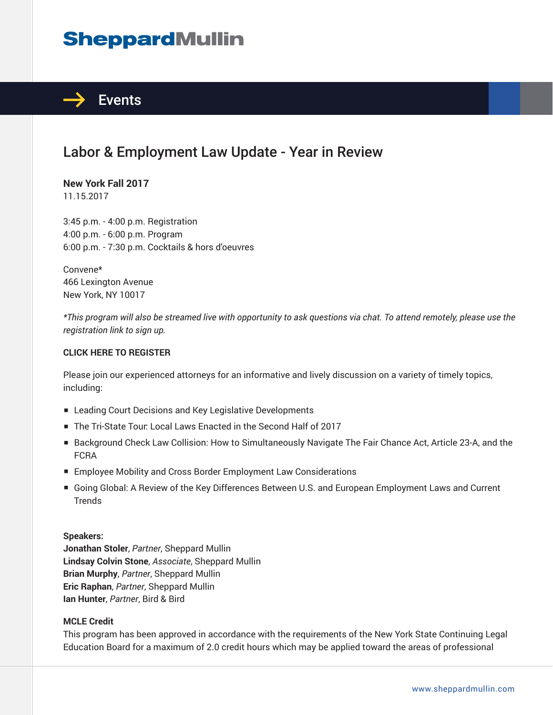# **SheppardMullin**



# Labor & Employment Law Update - Year in Review

**New York Fall 2017** 11.15.2017

3:45 p.m. - 4:00 p.m. Registration 4:00 p.m. - 6:00 p.m. Program 6:00 p.m. - 7:30 p.m. Cocktails & hors d'oeuvres

Convene\* 466 Lexington Avenue New York, NY 10017

*\*This program will also be streamed live with opportunity to ask questions via chat. To attend remotely, please use the registration link to sign up.*

#### **CLICK HERE TO REGISTER**

Please join our experienced attorneys for an informative and lively discussion on a variety of timely topics, including:

- Leading Court Decisions and Key Legislative Developments
- The Tri-State Tour: Local Laws Enacted in the Second Half of 2017
- Background Check Law Collision: How to Simultaneously Navigate The Fair Chance Act, Article 23-A, and the FCRA
- Employee Mobility and Cross Border Employment Law Considerations
- Going Global: A Review of the Key Differences Between U.S. and European Employment Laws and Current **Trends**

#### **Speakers:**

**Jonathan Stoler**, *Partner*, Sheppard Mullin **Lindsay Colvin Stone**, *Associate*, Sheppard Mullin **Brian Murphy**, *Partner*, Sheppard Mullin **Eric Raphan**, *Partner*, Sheppard Mullin **Ian Hunter**, *Partner*, Bird & Bird

#### **MCLE Credit**

This program has been approved in accordance with the requirements of the New York State Continuing Legal Education Board for a maximum of 2.0 credit hours which may be applied toward the areas of professional